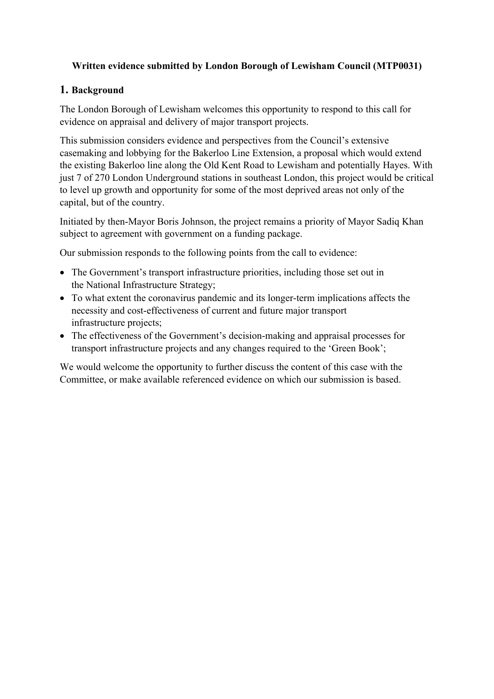# **Written evidence submitted by London Borough of Lewisham Council (MTP0031)**

# **1. Background**

The London Borough of Lewisham welcomes this opportunity to respond to this call for evidence on appraisal and delivery of major transport projects.

This submission considers evidence and perspectives from the Council's extensive casemaking and lobbying for the Bakerloo Line Extension, a proposal which would extend the existing Bakerloo line along the Old Kent Road to Lewisham and potentially Hayes. With just 7 of 270 London Underground stations in southeast London, this project would be critical to level up growth and opportunity for some of the most deprived areas not only of the capital, but of the country.

Initiated by then-Mayor Boris Johnson, the project remains a priority of Mayor Sadiq Khan subject to agreement with government on a funding package.

Our submission responds to the following points from the call to evidence:

- The Government's transport infrastructure priorities, including those set out in the National Infrastructure Strategy;
- To what extent the coronavirus pandemic and its longer-term implications affects the necessity and cost-effectiveness of current and future major transport infrastructure projects;
- The effectiveness of the Government's decision-making and appraisal processes for transport infrastructure projects and any changes required to the 'Green Book';

We would welcome the opportunity to further discuss the content of this case with the Committee, or make available referenced evidence on which our submission is based.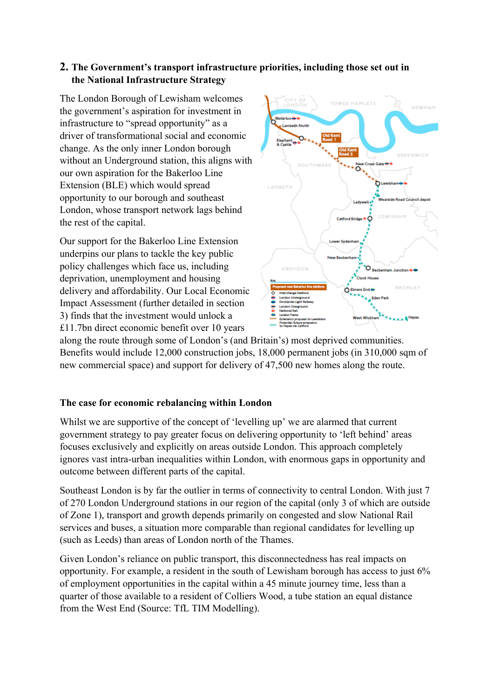# **2. The Government's transport infrastructure priorities, including those set out in the National Infrastructure Strategy**

The London Borough of Lewisham welcomes the government's aspiration for investment in infrastructure to "spread opportunity" as a driver of transformational social and economic change. As the only inner London borough without an Underground station, this aligns with our own aspiration for the Bakerloo Line Extension (BLE) which would spread opportunity to our borough and southeast London, whose transport network lags behind the rest of the capital.

Our support for the Bakerloo Line Extension underpins our plans to tackle the key public policy challenges which face us, including deprivation, unemployment and housing delivery and affordability. Our Local Economic Impact Assessment (further detailed in section 3) finds that the investment would unlock a £11.7bn direct economic benefit over 10 years



along the route through some of London's (and Britain's) most deprived communities. Benefits would include 12,000 construction jobs, 18,000 permanent jobs (in 310,000 sqm of new commercial space) and support for delivery of 47,500 new homes along the route.

## **The case for economic rebalancing within London**

Whilst we are supportive of the concept of 'levelling up' we are alarmed that current government strategy to pay greater focus on delivering opportunity to 'left behind' areas focuses exclusively and explicitly on areas outside London. This approach completely ignores vast intra-urban inequalities within London, with enormous gaps in opportunity and outcome between different parts of the capital.

Southeast London is by far the outlier in terms of connectivity to central London. With just 7 of 270 London Underground stations in our region of the capital (only 3 of which are outside of Zone 1), transport and growth depends primarily on congested and slow National Rail services and buses, a situation more comparable than regional candidates for levelling up (such as Leeds) than areas of London north of the Thames.

Given London's reliance on public transport, this disconnectedness has real impacts on opportunity. For example, a resident in the south of Lewisham borough has access to just 6% of employment opportunities in the capital within a 45 minute journey time, less than a quarter of those available to a resident of Colliers Wood, a tube station an equal distance from the West End (Source: TfL TIM Modelling).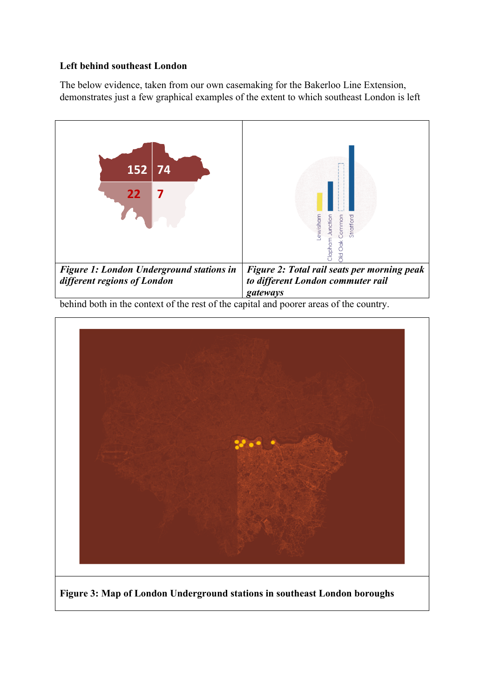## **Left behind southeast London**

The below evidence, taken from our own casemaking for the Bakerloo Line Extension, demonstrates just a few graphical examples of the extent to which southeast London is left



behind both in the context of the rest of the capital and poorer areas of the country.



**Figure 3: Map of London Underground stations in southeast London boroughs**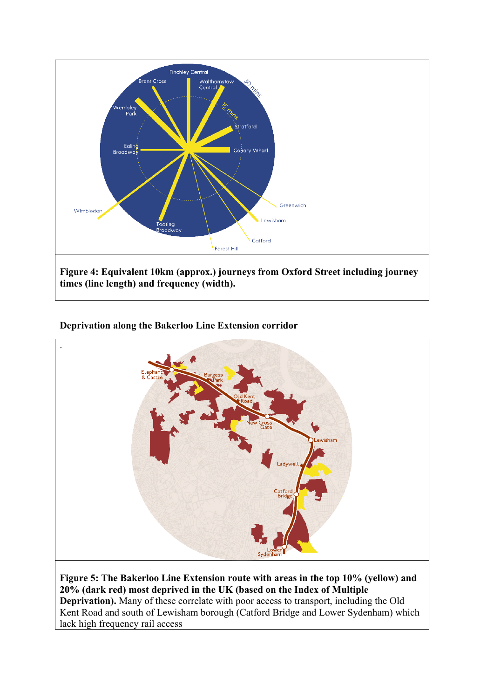

## **Deprivation along the Bakerloo Line Extension corridor**



**Figure 5: The Bakerloo Line Extension route with areas in the top 10% (yellow) and 20% (dark red) most deprived in the UK (based on the Index of Multiple Deprivation).** Many of these correlate with poor access to transport, including the Old Kent Road and south of Lewisham borough (Catford Bridge and Lower Sydenham) which lack high frequency rail access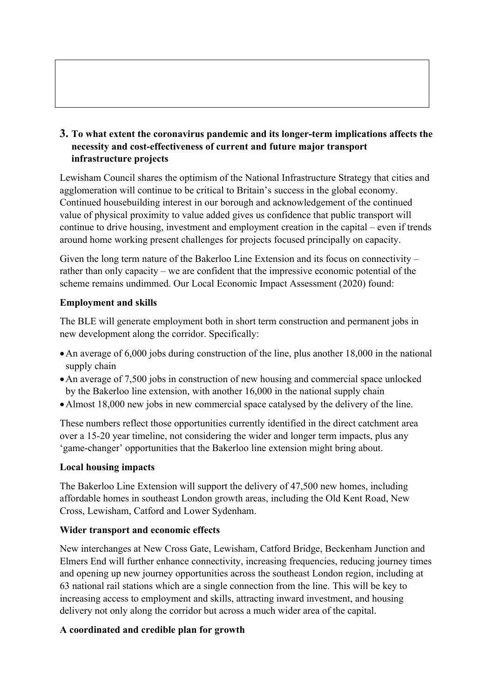**3. To what extent the coronavirus pandemic and its longer-term implications affects the necessity and cost-effectiveness of current and future major transport infrastructure projects**

Lewisham Council shares the optimism of the National Infrastructure Strategy that cities and agglomeration will continue to be critical to Britain's success in the global economy. Continued housebuilding interest in our borough and acknowledgement of the continued value of physical proximity to value added gives us confidence that public transport will continue to drive housing, investment and employment creation in the capital – even if trends around home working present challenges for projects focused principally on capacity.

Given the long term nature of the Bakerloo Line Extension and its focus on connectivity – rather than only capacity – we are confident that the impressive economic potential of the scheme remains undimmed. Our Local Economic Impact Assessment (2020) found:

## **Employment and skills**

The BLE will generate employment both in short term construction and permanent jobs in new development along the corridor. Specifically:

- An average of 6,000 jobs during construction of the line, plus another 18,000 in the national supply chain
- An average of 7,500 jobs in construction of new housing and commercial space unlocked by the Bakerloo line extension, with another 16,000 in the national supply chain
- Almost 18,000 new jobs in new commercial space catalysed by the delivery of the line.

These numbers reflect those opportunities currently identified in the direct catchment area over a 15-20 year timeline, not considering the wider and longer term impacts, plus any 'game-changer' opportunities that the Bakerloo line extension might bring about.

#### **Local housing impacts**

The Bakerloo Line Extension will support the delivery of 47,500 new homes, including affordable homes in southeast London growth areas, including the Old Kent Road, New Cross, Lewisham, Catford and Lower Sydenham.

#### **Wider transport and economic effects**

New interchanges at New Cross Gate, Lewisham, Catford Bridge, Beckenham Junction and Elmers End will further enhance connectivity, increasing frequencies, reducing journey times and opening up new journey opportunities across the southeast London region, including at 63 national rail stations which are a single connection from the line. This will be key to increasing access to employment and skills, attracting inward investment, and housing delivery not only along the corridor but across a much wider area of the capital.

## **A coordinated and credible plan for growth**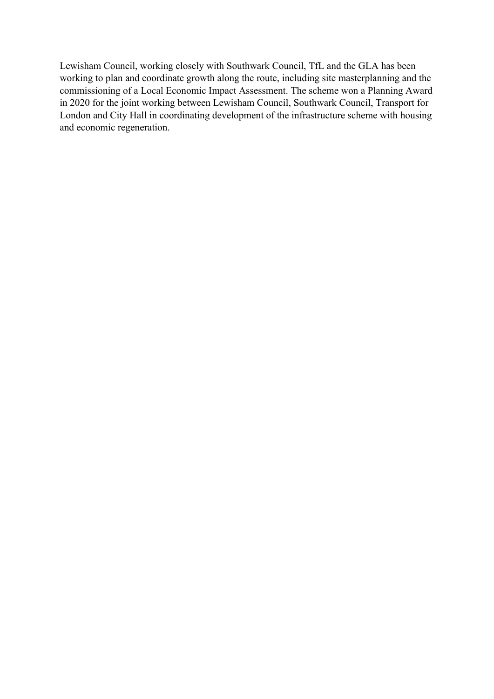Lewisham Council, working closely with Southwark Council, TfL and the GLA has been working to plan and coordinate growth along the route, including site masterplanning and the commissioning of a Local Economic Impact Assessment. The scheme won a Planning Award in 2020 for the joint working between Lewisham Council, Southwark Council, Transport for London and City Hall in coordinating development of the infrastructure scheme with housing and economic regeneration.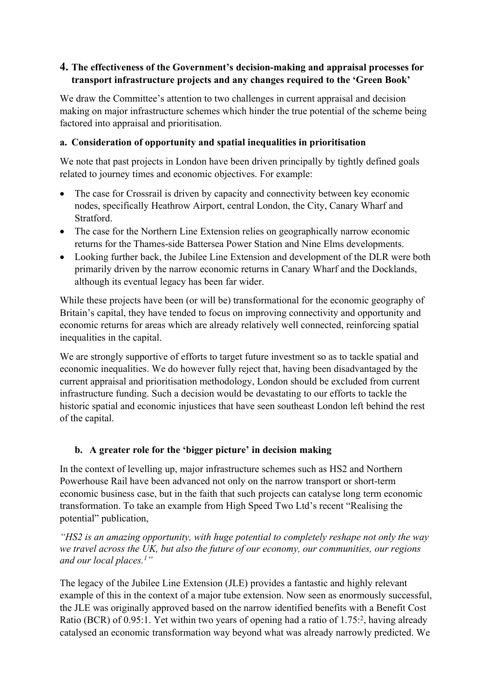## **4. The effectiveness of the Government's decision-making and appraisal processes for transport infrastructure projects and any changes required to the 'Green Book'**

We draw the Committee's attention to two challenges in current appraisal and decision making on major infrastructure schemes which hinder the true potential of the scheme being factored into appraisal and prioritisation.

### **a. Consideration of opportunity and spatial inequalities in prioritisation**

We note that past projects in London have been driven principally by tightly defined goals related to journey times and economic objectives. For example:

- The case for Crossrail is driven by capacity and connectivity between key economic nodes, specifically Heathrow Airport, central London, the City, Canary Wharf and Stratford.
- The case for the Northern Line Extension relies on geographically narrow economic returns for the Thames-side Battersea Power Station and Nine Elms developments.
- Looking further back, the Jubilee Line Extension and development of the DLR were both primarily driven by the narrow economic returns in Canary Wharf and the Docklands, although its eventual legacy has been far wider.

While these projects have been (or will be) transformational for the economic geography of Britain's capital, they have tended to focus on improving connectivity and opportunity and economic returns for areas which are already relatively well connected, reinforcing spatial inequalities in the capital.

We are strongly supportive of efforts to target future investment so as to tackle spatial and economic inequalities. We do however fully reject that, having been disadvantaged by the current appraisal and prioritisation methodology, London should be excluded from current infrastructure funding. Such a decision would be devastating to our efforts to tackle the historic spatial and economic injustices that have seen southeast London left behind the rest of the capital.

## **b. A greater role for the 'bigger picture' in decision making**

In the context of levelling up, major infrastructure schemes such as HS2 and Northern Powerhouse Rail have been advanced not only on the narrow transport or short-term economic business case, but in the faith that such projects can catalyse long term economic transformation. To take an example from High Speed Two Ltd's recent "Realising the potential" publication,

*"HS2 is an amazing opportunity, with huge potential to completely reshape not only the way we travel across the UK, but also the future of our economy, our communities, our regions and our local places.<sup>1</sup>"*

The legacy of the Jubilee Line Extension (JLE) provides a fantastic and highly relevant example of this in the context of a major tube extension. Now seen as enormously successful, the JLE was originally approved based on the narrow identified benefits with a Benefit Cost Ratio (BCR) of 0.95:1. Yet within two years of opening had a ratio of 1.75:<sup>2</sup>, having already catalysed an economic transformation way beyond what was already narrowly predicted. We